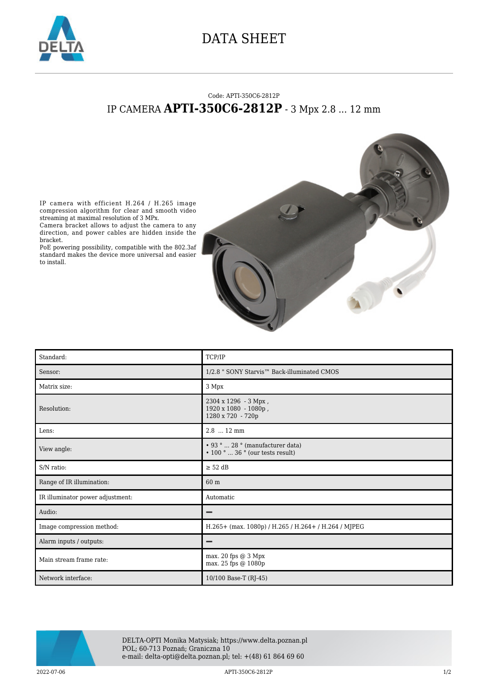

## DATA SHEET

## Code: APTI-350C6-2812P IP CAMERA **APTI-350C6-2812P** - 3 Mpx 2.8 ... 12 mm

IP camera with efficient H.264 / H.265 image compression algorithm for clear and smooth video streaming at maximal resolution of 3 MPx.

Camera bracket allows to adjust the camera to any direction, and power cables are hidden inside the bracket.

PoE powering possibility, compatible with the 802.3af standard makes the device more universal and easier to install.



| Standard:                        | TCP/IP                                                                    |
|----------------------------------|---------------------------------------------------------------------------|
| Sensor:                          | 1/2.8 " SONY Starvis™ Back-illuminated CMOS                               |
| Matrix size:                     | 3 Mpx                                                                     |
| Resolution:                      | 2304 x 1296 - 3 Mpx,<br>1920 x 1080 - 1080p,<br>1280 x 720 - 720p         |
| Lens:                            | 2.8  12 mm                                                                |
| View angle:                      | • 93°  28 ° (manufacturer data)<br>$\cdot$ 100 °  36 ° (our tests result) |
| S/N ratio:                       | $\geq$ 52 dB                                                              |
| Range of IR illumination:        | 60 m                                                                      |
| IR illuminator power adjustment: | Automatic                                                                 |
| Audio:                           |                                                                           |
| Image compression method:        | H.265+ (max. 1080p) / H.265 / H.264+ / H.264 / MJPEG                      |
| Alarm inputs / outputs:          | -                                                                         |
| Main stream frame rate:          | max. 20 fps @ 3 Mpx<br>max. 25 fps @ 1080p                                |
| Network interface:               | 10/100 Base-T (RJ-45)                                                     |



DELTA-OPTI Monika Matysiak; https://www.delta.poznan.pl POL; 60-713 Poznań; Graniczna 10 e-mail: delta-opti@delta.poznan.pl; tel: +(48) 61 864 69 60

2022-07-06 APTI-350C6-2812P 1/2